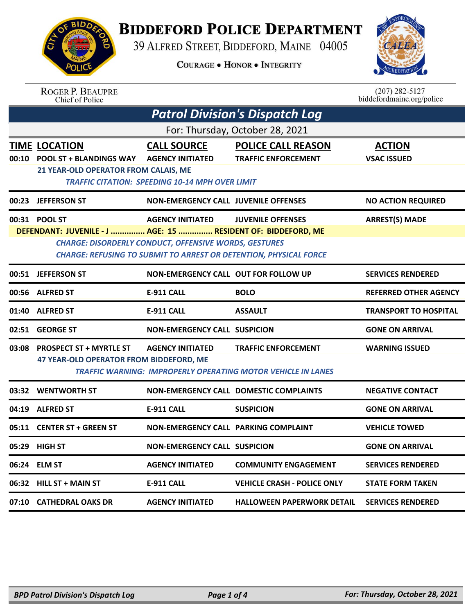

## **BIDDEFORD POLICE DEPARTMENT**

39 ALFRED STREET, BIDDEFORD, MAINE 04005

**COURAGE . HONOR . INTEGRITY** 



| <b>ROGER P. BEAUPRE</b> |
|-------------------------|
| Chief of Police         |

 $(207)$  282-5127<br>biddefordmaine.org/police

| <b>Patrol Division's Dispatch Log</b>                                                                                                                                                                                                                                                                     |                                                                                                                                                                                                      |                                                                                        |                                                                                                                                                                                                                                                                                                                                                                                                           |  |  |
|-----------------------------------------------------------------------------------------------------------------------------------------------------------------------------------------------------------------------------------------------------------------------------------------------------------|------------------------------------------------------------------------------------------------------------------------------------------------------------------------------------------------------|----------------------------------------------------------------------------------------|-----------------------------------------------------------------------------------------------------------------------------------------------------------------------------------------------------------------------------------------------------------------------------------------------------------------------------------------------------------------------------------------------------------|--|--|
| For: Thursday, October 28, 2021                                                                                                                                                                                                                                                                           |                                                                                                                                                                                                      |                                                                                        |                                                                                                                                                                                                                                                                                                                                                                                                           |  |  |
| <b>POOL ST + BLANDINGS WAY</b>                                                                                                                                                                                                                                                                            | <b>CALL SOURCE</b><br><b>AGENCY INITIATED</b>                                                                                                                                                        | <b>POLICE CALL REASON</b><br><b>TRAFFIC ENFORCEMENT</b>                                | <b>ACTION</b><br><b>VSAC ISSUED</b>                                                                                                                                                                                                                                                                                                                                                                       |  |  |
|                                                                                                                                                                                                                                                                                                           |                                                                                                                                                                                                      |                                                                                        | <b>NO ACTION REQUIRED</b>                                                                                                                                                                                                                                                                                                                                                                                 |  |  |
| 00:31 POOL ST<br><b>ARREST(S) MADE</b><br><b>AGENCY INITIATED</b><br><b>JUVENILE OFFENSES</b><br>DEFENDANT: JUVENILE - J  AGE: 15  RESIDENT OF: BIDDEFORD, ME<br><b>CHARGE: DISORDERLY CONDUCT, OFFENSIVE WORDS, GESTURES</b><br><b>CHARGE: REFUSING TO SUBMIT TO ARREST OR DETENTION, PHYSICAL FORCE</b> |                                                                                                                                                                                                      |                                                                                        |                                                                                                                                                                                                                                                                                                                                                                                                           |  |  |
| <b>JEFFERSON ST</b>                                                                                                                                                                                                                                                                                       |                                                                                                                                                                                                      |                                                                                        | <b>SERVICES RENDERED</b>                                                                                                                                                                                                                                                                                                                                                                                  |  |  |
|                                                                                                                                                                                                                                                                                                           | E-911 CALL                                                                                                                                                                                           | <b>BOLO</b>                                                                            | <b>REFERRED OTHER AGENCY</b>                                                                                                                                                                                                                                                                                                                                                                              |  |  |
|                                                                                                                                                                                                                                                                                                           | <b>E-911 CALL</b>                                                                                                                                                                                    | <b>ASSAULT</b>                                                                         | <b>TRANSPORT TO HOSPITAL</b>                                                                                                                                                                                                                                                                                                                                                                              |  |  |
|                                                                                                                                                                                                                                                                                                           |                                                                                                                                                                                                      |                                                                                        | <b>GONE ON ARRIVAL</b>                                                                                                                                                                                                                                                                                                                                                                                    |  |  |
| <b>PROSPECT ST + MYRTLE ST</b>                                                                                                                                                                                                                                                                            | <b>AGENCY INITIATED</b>                                                                                                                                                                              | <b>TRAFFIC ENFORCEMENT</b>                                                             | <b>WARNING ISSUED</b>                                                                                                                                                                                                                                                                                                                                                                                     |  |  |
| <b>WENTWORTH ST</b>                                                                                                                                                                                                                                                                                       |                                                                                                                                                                                                      |                                                                                        | <b>NEGATIVE CONTACT</b>                                                                                                                                                                                                                                                                                                                                                                                   |  |  |
| <b>ALFRED ST</b>                                                                                                                                                                                                                                                                                          | <b>E-911 CALL</b>                                                                                                                                                                                    | <b>SUSPICION</b>                                                                       | <b>GONE ON ARRIVAL</b>                                                                                                                                                                                                                                                                                                                                                                                    |  |  |
| <b>CENTER ST + GREEN ST</b>                                                                                                                                                                                                                                                                               |                                                                                                                                                                                                      |                                                                                        | <b>VEHICLE TOWED</b>                                                                                                                                                                                                                                                                                                                                                                                      |  |  |
| <b>HIGH ST</b>                                                                                                                                                                                                                                                                                            |                                                                                                                                                                                                      |                                                                                        | <b>GONE ON ARRIVAL</b>                                                                                                                                                                                                                                                                                                                                                                                    |  |  |
|                                                                                                                                                                                                                                                                                                           | <b>AGENCY INITIATED</b>                                                                                                                                                                              | <b>COMMUNITY ENGAGEMENT</b>                                                            | <b>SERVICES RENDERED</b>                                                                                                                                                                                                                                                                                                                                                                                  |  |  |
|                                                                                                                                                                                                                                                                                                           | <b>E-911 CALL</b>                                                                                                                                                                                    | <b>VEHICLE CRASH - POLICE ONLY</b>                                                     | <b>STATE FORM TAKEN</b>                                                                                                                                                                                                                                                                                                                                                                                   |  |  |
|                                                                                                                                                                                                                                                                                                           | <b>AGENCY INITIATED</b>                                                                                                                                                                              | <b>HALLOWEEN PAPERWORK DETAIL</b>                                                      | <b>SERVICES RENDERED</b>                                                                                                                                                                                                                                                                                                                                                                                  |  |  |
| 00:10                                                                                                                                                                                                                                                                                                     | <b>TIME LOCATION</b><br>00:23 JEFFERSON ST<br>00:51<br>00:56 ALFRED ST<br>01:40 ALFRED ST<br>02:51 GEORGE ST<br>03:32<br>05:11<br>06:24 ELM ST<br>06:32 HILL ST + MAIN ST<br>07:10 CATHEDRAL OAKS DR | <b>21 YEAR-OLD OPERATOR FROM CALAIS, ME</b><br>47 YEAR-OLD OPERATOR FROM BIDDEFORD, ME | <b>TRAFFIC CITATION: SPEEDING 10-14 MPH OVER LIMIT</b><br><b>NON-EMERGENCY CALL JUVENILE OFFENSES</b><br><b>NON-EMERGENCY CALL OUT FOR FOLLOW UP</b><br><b>NON-EMERGENCY CALL SUSPICION</b><br><b>TRAFFIC WARNING: IMPROPERLY OPERATING MOTOR VEHICLE IN LANES</b><br><b>NON-EMERGENCY CALL DOMESTIC COMPLAINTS</b><br><b>NON-EMERGENCY CALL PARKING COMPLAINT</b><br><b>NON-EMERGENCY CALL SUSPICION</b> |  |  |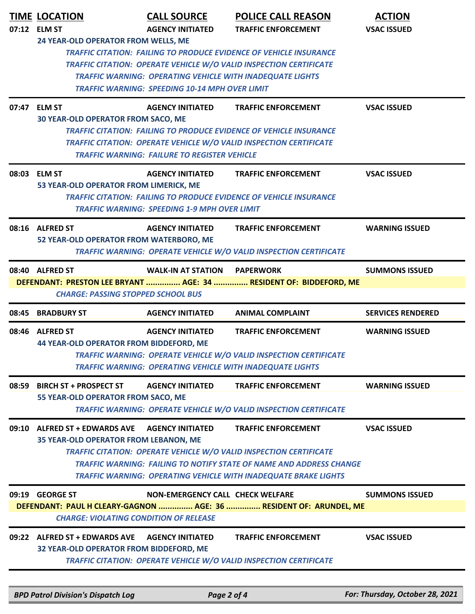| <b>TIME LOCATION</b><br>07:12 ELM ST                                                                                                                                                                                                                                                                                       | <b>CALL SOURCE</b><br><b>AGENCY INITIATED</b>                                        | <b>POLICE CALL REASON</b><br><b>TRAFFIC ENFORCEMENT</b>                                                                                                                                                                                           | <b>ACTION</b><br><b>VSAC ISSUED</b> |  |  |
|----------------------------------------------------------------------------------------------------------------------------------------------------------------------------------------------------------------------------------------------------------------------------------------------------------------------------|--------------------------------------------------------------------------------------|---------------------------------------------------------------------------------------------------------------------------------------------------------------------------------------------------------------------------------------------------|-------------------------------------|--|--|
| 24 YEAR-OLD OPERATOR FROM WELLS, ME<br><b>TRAFFIC CITATION: FAILING TO PRODUCE EVIDENCE OF VEHICLE INSURANCE</b><br><b>TRAFFIC CITATION: OPERATE VEHICLE W/O VALID INSPECTION CERTIFICATE</b><br><b>TRAFFIC WARNING: OPERATING VEHICLE WITH INADEQUATE LIGHTS</b><br><b>TRAFFIC WARNING: SPEEDING 10-14 MPH OVER LIMIT</b> |                                                                                      |                                                                                                                                                                                                                                                   |                                     |  |  |
| 07:47 ELM ST<br><b>30 YEAR-OLD OPERATOR FROM SACO, ME</b>                                                                                                                                                                                                                                                                  | <b>AGENCY INITIATED</b><br><b>TRAFFIC WARNING: FAILURE TO REGISTER VEHICLE</b>       | <b>TRAFFIC ENFORCEMENT</b><br><b>TRAFFIC CITATION: FAILING TO PRODUCE EVIDENCE OF VEHICLE INSURANCE</b><br><b>TRAFFIC CITATION: OPERATE VEHICLE W/O VALID INSPECTION CERTIFICATE</b>                                                              | <b>VSAC ISSUED</b>                  |  |  |
| 08:03 ELM ST<br>53 YEAR-OLD OPERATOR FROM LIMERICK, ME                                                                                                                                                                                                                                                                     | <b>AGENCY INITIATED</b><br><b>TRAFFIC WARNING: SPEEDING 1-9 MPH OVER LIMIT</b>       | <b>TRAFFIC ENFORCEMENT</b><br><b>TRAFFIC CITATION: FAILING TO PRODUCE EVIDENCE OF VEHICLE INSURANCE</b>                                                                                                                                           | <b>VSAC ISSUED</b>                  |  |  |
| 08:16 ALFRED ST<br>52 YEAR-OLD OPERATOR FROM WATERBORO, ME                                                                                                                                                                                                                                                                 | <b>AGENCY INITIATED</b>                                                              | <b>TRAFFIC ENFORCEMENT</b><br>TRAFFIC WARNING: OPERATE VEHICLE W/O VALID INSPECTION CERTIFICATE                                                                                                                                                   | <b>WARNING ISSUED</b>               |  |  |
| 08:40 ALFRED ST<br><b>WALK-IN AT STATION PAPERWORK</b><br><b>SUMMONS ISSUED</b><br>DEFENDANT: PRESTON LEE BRYANT  AGE: 34  RESIDENT OF: BIDDEFORD, ME<br><b>CHARGE: PASSING STOPPED SCHOOL BUS</b>                                                                                                                         |                                                                                      |                                                                                                                                                                                                                                                   |                                     |  |  |
| 08:45 BRADBURY ST                                                                                                                                                                                                                                                                                                          | <b>AGENCY INITIATED</b>                                                              | <b>ANIMAL COMPLAINT</b>                                                                                                                                                                                                                           | <b>SERVICES RENDERED</b>            |  |  |
| 08:46 ALFRED ST<br><b>44 YEAR-OLD OPERATOR FROM BIDDEFORD, ME</b>                                                                                                                                                                                                                                                          | <b>AGENCY INITIATED</b><br>TRAFFIC WARNING: OPERATING VEHICLE WITH INADEQUATE LIGHTS | <b>TRAFFIC ENFORCEMENT</b><br>TRAFFIC WARNING: OPERATE VEHICLE W/O VALID INSPECTION CERTIFICATE                                                                                                                                                   | <b>WARNING ISSUED</b>               |  |  |
| 08:59 BIRCH ST + PROSPECT ST<br>55 YEAR-OLD OPERATOR FROM SACO, ME                                                                                                                                                                                                                                                         | <b>AGENCY INITIATED</b>                                                              | <b>TRAFFIC ENFORCEMENT</b><br><b>TRAFFIC WARNING: OPERATE VEHICLE W/O VALID INSPECTION CERTIFICATE</b>                                                                                                                                            | <b>WARNING ISSUED</b>               |  |  |
| 09:10 ALFRED ST + EDWARDS AVE<br>35 YEAR-OLD OPERATOR FROM LEBANON, ME                                                                                                                                                                                                                                                     | <b>AGENCY INITIATED</b>                                                              | <b>TRAFFIC ENFORCEMENT</b><br>TRAFFIC CITATION: OPERATE VEHICLE W/O VALID INSPECTION CERTIFICATE<br>TRAFFIC WARNING: FAILING TO NOTIFY STATE OF NAME AND ADDRESS CHANGE<br><b>TRAFFIC WARNING: OPERATING VEHICLE WITH INADEQUATE BRAKE LIGHTS</b> | <b>VSAC ISSUED</b>                  |  |  |
| 09:19 GEORGE ST<br><b>CHARGE: VIOLATING CONDITION OF RELEASE</b>                                                                                                                                                                                                                                                           | <b>NON-EMERGENCY CALL CHECK WELFARE</b>                                              | DEFENDANT: PAUL H CLEARY-GAGNON  AGE: 36  RESIDENT OF: ARUNDEL, ME                                                                                                                                                                                | <b>SUMMONS ISSUED</b>               |  |  |
| 09:22 ALFRED ST + EDWARDS AVE<br>32 YEAR-OLD OPERATOR FROM BIDDEFORD, ME                                                                                                                                                                                                                                                   | <b>AGENCY INITIATED</b>                                                              | <b>TRAFFIC ENFORCEMENT</b><br>TRAFFIC CITATION: OPERATE VEHICLE W/O VALID INSPECTION CERTIFICATE                                                                                                                                                  | <b>VSAC ISSUED</b>                  |  |  |

*BPD Patrol Division's Dispatch Log Page 2 of 4 For: Thursday, October 28, 2021*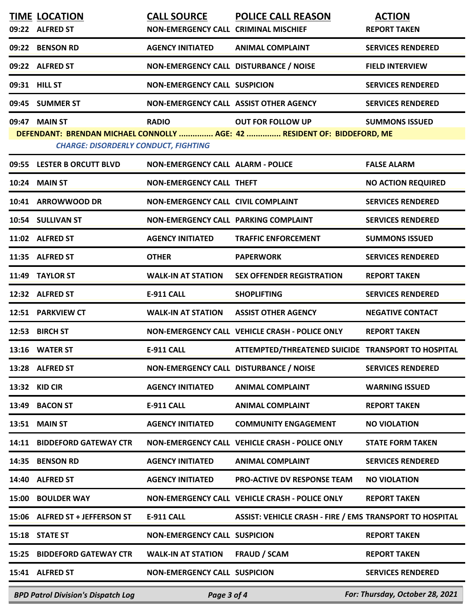|       | <b>TIME LOCATION</b><br>09:22 ALFRED ST     | <b>CALL SOURCE</b><br>NON-EMERGENCY CALL CRIMINAL MISCHIEF | <b>POLICE CALL REASON</b>                                                | <b>ACTION</b><br><b>REPORT TAKEN</b> |
|-------|---------------------------------------------|------------------------------------------------------------|--------------------------------------------------------------------------|--------------------------------------|
| 09:22 | <b>BENSON RD</b>                            | <b>AGENCY INITIATED</b>                                    | <b>ANIMAL COMPLAINT</b>                                                  | <b>SERVICES RENDERED</b>             |
|       | 09:22 ALFRED ST                             | NON-EMERGENCY CALL DISTURBANCE / NOISE                     |                                                                          | <b>FIELD INTERVIEW</b>               |
|       | 09:31 HILL ST                               | <b>NON-EMERGENCY CALL SUSPICION</b>                        |                                                                          | <b>SERVICES RENDERED</b>             |
|       | 09:45 SUMMER ST                             | NON-EMERGENCY CALL ASSIST OTHER AGENCY                     |                                                                          | <b>SERVICES RENDERED</b>             |
| 09:47 | <b>MAIN ST</b>                              | <b>RADIO</b>                                               | <b>OUT FOR FOLLOW UP</b>                                                 | <b>SUMMONS ISSUED</b>                |
|       | <b>CHARGE: DISORDERLY CONDUCT, FIGHTING</b> |                                                            | DEFENDANT: BRENDAN MICHAEL CONNOLLY  AGE: 42  RESIDENT OF: BIDDEFORD, ME |                                      |
|       | 09:55 LESTER B ORCUTT BLVD                  | <b>NON-EMERGENCY CALL ALARM - POLICE</b>                   |                                                                          | <b>FALSE ALARM</b>                   |
|       | 10:24 MAIN ST                               | <b>NON-EMERGENCY CALL THEFT</b>                            |                                                                          | <b>NO ACTION REQUIRED</b>            |
|       | 10:41 ARROWWOOD DR                          | NON-EMERGENCY CALL CIVIL COMPLAINT                         |                                                                          | <b>SERVICES RENDERED</b>             |
|       | 10:54 SULLIVAN ST                           | NON-EMERGENCY CALL PARKING COMPLAINT                       |                                                                          | <b>SERVICES RENDERED</b>             |
|       | 11:02 ALFRED ST                             | <b>AGENCY INITIATED</b>                                    | <b>TRAFFIC ENFORCEMENT</b>                                               | <b>SUMMONS ISSUED</b>                |
|       | 11:35 ALFRED ST                             | <b>OTHER</b>                                               | <b>PAPERWORK</b>                                                         | <b>SERVICES RENDERED</b>             |
|       | 11:49 TAYLOR ST                             | <b>WALK-IN AT STATION</b>                                  | <b>SEX OFFENDER REGISTRATION</b>                                         | <b>REPORT TAKEN</b>                  |
|       | 12:32 ALFRED ST                             | <b>E-911 CALL</b>                                          | <b>SHOPLIFTING</b>                                                       | <b>SERVICES RENDERED</b>             |
|       | 12:51 PARKVIEW CT                           | <b>WALK-IN AT STATION</b>                                  | <b>ASSIST OTHER AGENCY</b>                                               | <b>NEGATIVE CONTACT</b>              |
| 12:53 | <b>BIRCH ST</b>                             |                                                            | NON-EMERGENCY CALL VEHICLE CRASH - POLICE ONLY                           | <b>REPORT TAKEN</b>                  |
|       | 13:16 WATER ST                              | <b>E-911 CALL</b>                                          | ATTEMPTED/THREATENED SUICIDE TRANSPORT TO HOSPITAL                       |                                      |
|       | 13:28 ALFRED ST                             | NON-EMERGENCY CALL DISTURBANCE / NOISE                     |                                                                          | <b>SERVICES RENDERED</b>             |
| 13:32 | <b>KID CIR</b>                              | <b>AGENCY INITIATED</b>                                    | <b>ANIMAL COMPLAINT</b>                                                  | <b>WARNING ISSUED</b>                |
| 13:49 | <b>BACON ST</b>                             | E-911 CALL                                                 | <b>ANIMAL COMPLAINT</b>                                                  | <b>REPORT TAKEN</b>                  |
| 13:51 | <b>MAIN ST</b>                              | <b>AGENCY INITIATED</b>                                    | <b>COMMUNITY ENGAGEMENT</b>                                              | <b>NO VIOLATION</b>                  |
| 14:11 | <b>BIDDEFORD GATEWAY CTR</b>                |                                                            | NON-EMERGENCY CALL VEHICLE CRASH - POLICE ONLY                           | <b>STATE FORM TAKEN</b>              |
| 14:35 | <b>BENSON RD</b>                            | <b>AGENCY INITIATED</b>                                    | <b>ANIMAL COMPLAINT</b>                                                  | <b>SERVICES RENDERED</b>             |
| 14:40 | <b>ALFRED ST</b>                            | <b>AGENCY INITIATED</b>                                    | <b>PRO-ACTIVE DV RESPONSE TEAM</b>                                       | <b>NO VIOLATION</b>                  |
| 15:00 | <b>BOULDER WAY</b>                          |                                                            | NON-EMERGENCY CALL VEHICLE CRASH - POLICE ONLY                           | <b>REPORT TAKEN</b>                  |
| 15:06 | <b>ALFRED ST + JEFFERSON ST</b>             | <b>E-911 CALL</b>                                          | <b>ASSIST: VEHICLE CRASH - FIRE / EMS TRANSPORT TO HOSPITAL</b>          |                                      |
| 15:18 | <b>STATE ST</b>                             | <b>NON-EMERGENCY CALL SUSPICION</b>                        |                                                                          | <b>REPORT TAKEN</b>                  |
| 15:25 | <b>BIDDEFORD GATEWAY CTR</b>                | <b>WALK-IN AT STATION</b>                                  | <b>FRAUD / SCAM</b>                                                      | <b>REPORT TAKEN</b>                  |
|       | 15:41 ALFRED ST                             | <b>NON-EMERGENCY CALL SUSPICION</b>                        |                                                                          | <b>SERVICES RENDERED</b>             |
|       | <b>BPD Patrol Division's Dispatch Log</b>   | Page 3 of 4                                                |                                                                          | For: Thursday, October 28, 2021      |